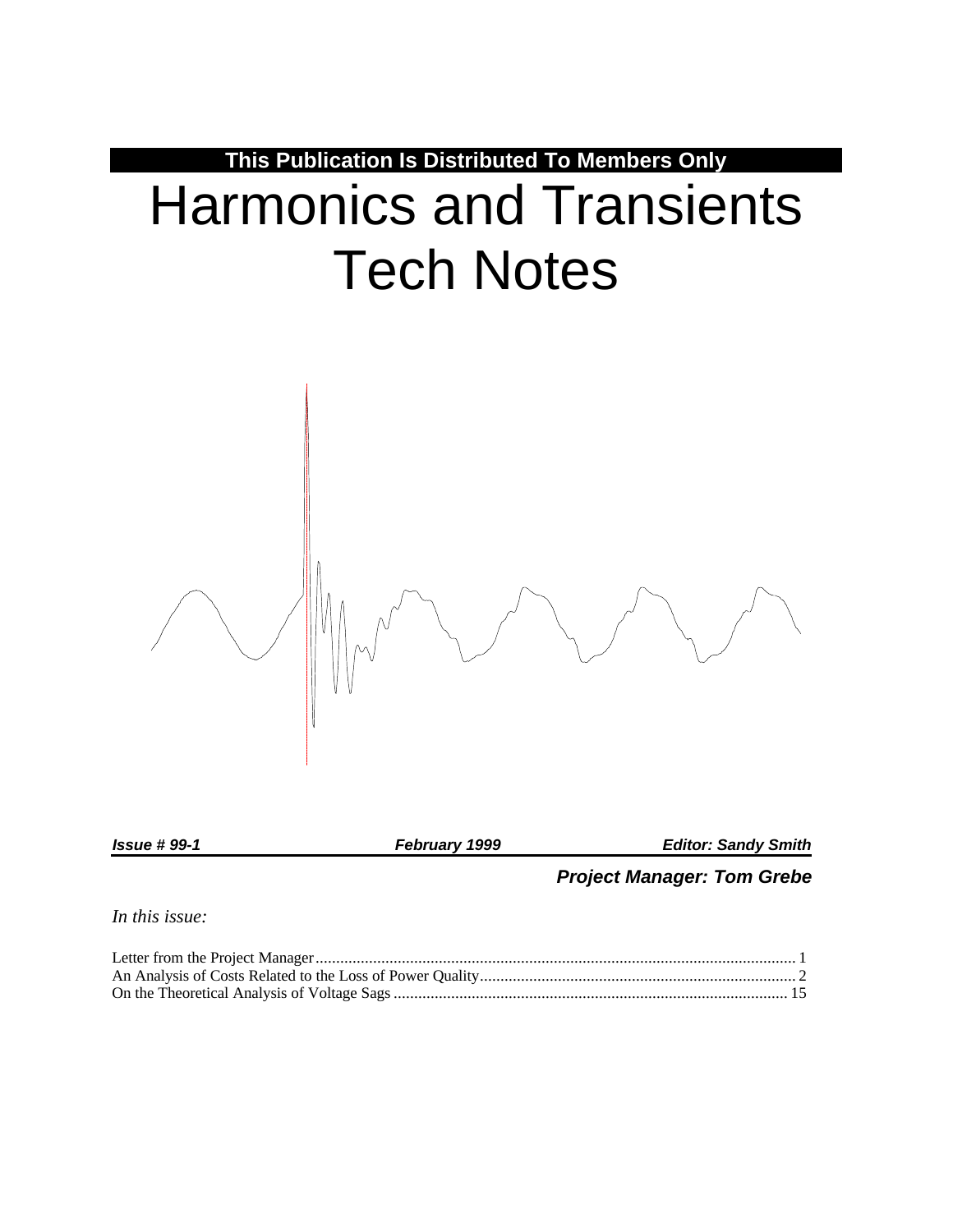

*Project Manager: Tom Grebe*

*In this issue:*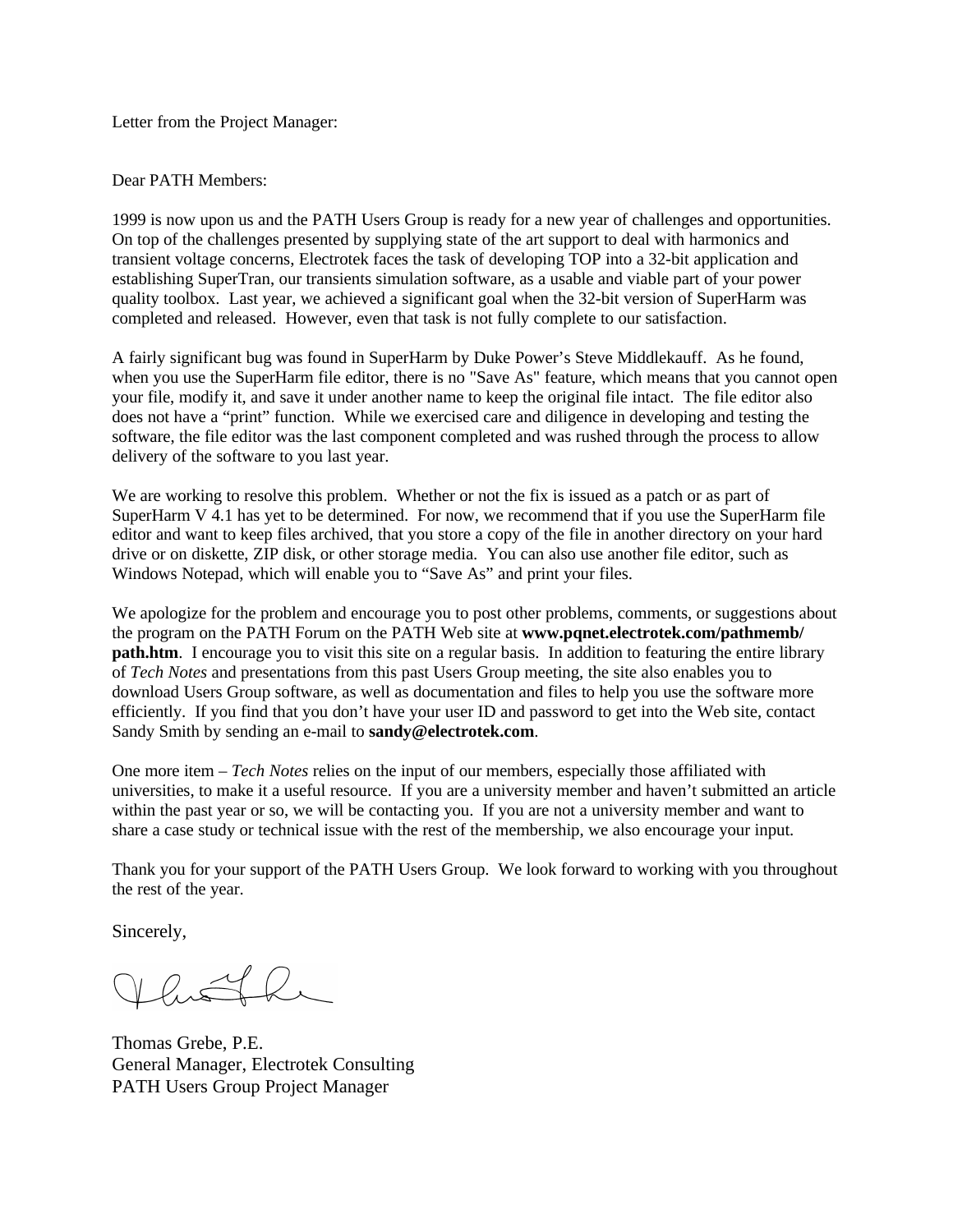Letter from the Project Manager:

Dear PATH Members:

1999 is now upon us and the PATH Users Group is ready for a new year of challenges and opportunities. On top of the challenges presented by supplying state of the art support to deal with harmonics and transient voltage concerns, Electrotek faces the task of developing TOP into a 32-bit application and establishing SuperTran, our transients simulation software, as a usable and viable part of your power quality toolbox. Last year, we achieved a significant goal when the 32-bit version of SuperHarm was completed and released. However, even that task is not fully complete to our satisfaction.

A fairly significant bug was found in SuperHarm by Duke Power's Steve Middlekauff. As he found, when you use the SuperHarm file editor, there is no "Save As" feature, which means that you cannot open your file, modify it, and save it under another name to keep the original file intact. The file editor also does not have a "print" function. While we exercised care and diligence in developing and testing the software, the file editor was the last component completed and was rushed through the process to allow delivery of the software to you last year.

We are working to resolve this problem. Whether or not the fix is issued as a patch or as part of SuperHarm V 4.1 has yet to be determined. For now, we recommend that if you use the SuperHarm file editor and want to keep files archived, that you store a copy of the file in another directory on your hard drive or on diskette, ZIP disk, or other storage media. You can also use another file editor, such as Windows Notepad, which will enable you to "Save As" and print your files.

We apologize for the problem and encourage you to post other problems, comments, or suggestions about the program on the PATH Forum on the PATH Web site at **www.pqnet.electrotek.com/pathmemb/ path.htm**. I encourage you to visit this site on a regular basis. In addition to featuring the entire library of *Tech Notes* and presentations from this past Users Group meeting, the site also enables you to download Users Group software, as well as documentation and files to help you use the software more efficiently. If you find that you don't have your user ID and password to get into the Web site, contact Sandy Smith by sending an e-mail to **sandy@electrotek.com**.

One more item – *Tech Notes* relies on the input of our members, especially those affiliated with universities, to make it a useful resource. If you are a university member and haven't submitted an article within the past year or so, we will be contacting you. If you are not a university member and want to share a case study or technical issue with the rest of the membership, we also encourage your input.

Thank you for your support of the PATH Users Group. We look forward to working with you throughout the rest of the year.

Sincerely,

Thomas Grebe, P.E. General Manager, Electrotek Consulting PATH Users Group Project Manager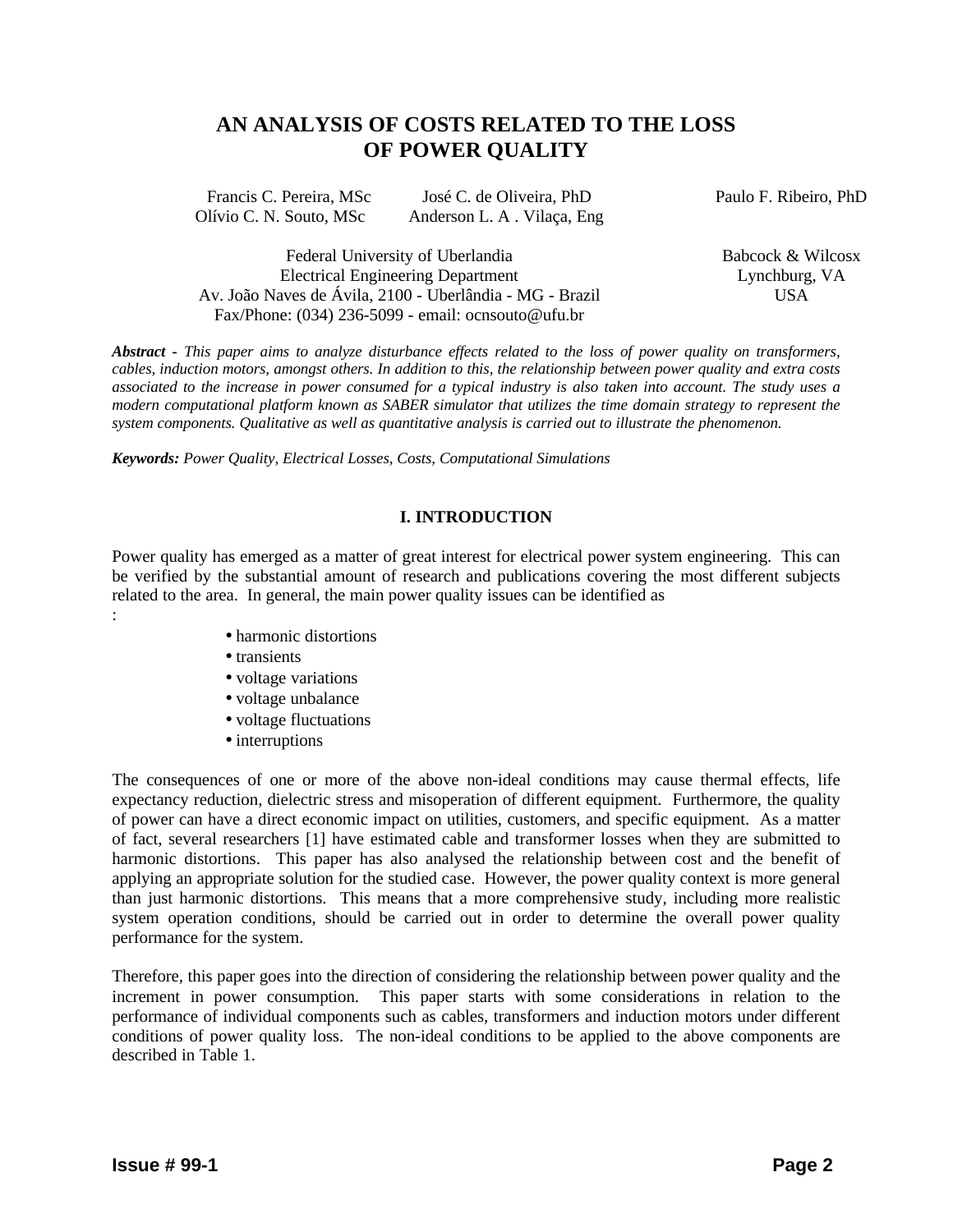# **AN ANALYSIS OF COSTS RELATED TO THE LOSS OF POWER QUALITY**

| Francis C. Pereira, MSc | José C. de Oliveira, PhD   | Paulo F. Ribeiro, PhD |
|-------------------------|----------------------------|-----------------------|
| Olívio C. N. Souto, MSc | Anderson L. A. Vilaça, Eng |                       |

Federal University of Uberlandia Electrical Engineering Department Av. João Naves de Ávila, 2100 - Uberlândia - MG - Brazil Fax/Phone: (034) 236-5099 - email: ocnsouto@ufu.br

Babcock & Wilcosx Lynchburg, VA USA

*Abstract - This paper aims to analyze disturbance effects related to the loss of power quality on transformers, cables, induction motors, amongst others. In addition to this, the relationship between power quality and extra costs associated to the increase in power consumed for a typical industry is also taken into account. The study uses a modern computational platform known as SABER simulator that utilizes the time domain strategy to represent the system components. Qualitative as well as quantitative analysis is carried out to illustrate the phenomenon.*

*Keywords: Power Quality, Electrical Losses, Costs, Computational Simulations*

## **I. INTRODUCTION**

Power quality has emerged as a matter of great interest for electrical power system engineering. This can be verified by the substantial amount of research and publications covering the most different subjects related to the area. In general, the main power quality issues can be identified as :

- harmonic distortions
- transients
- voltage variations
- voltage unbalance
- voltage fluctuations
- interruptions

The consequences of one or more of the above non-ideal conditions may cause thermal effects, life expectancy reduction, dielectric stress and misoperation of different equipment. Furthermore, the quality of power can have a direct economic impact on utilities, customers, and specific equipment. As a matter of fact, several researchers [1] have estimated cable and transformer losses when they are submitted to harmonic distortions. This paper has also analysed the relationship between cost and the benefit of applying an appropriate solution for the studied case. However, the power quality context is more general than just harmonic distortions. This means that a more comprehensive study, including more realistic system operation conditions, should be carried out in order to determine the overall power quality performance for the system.

Therefore, this paper goes into the direction of considering the relationship between power quality and the increment in power consumption. This paper starts with some considerations in relation to the performance of individual components such as cables, transformers and induction motors under different conditions of power quality loss. The non-ideal conditions to be applied to the above components are described in Table 1.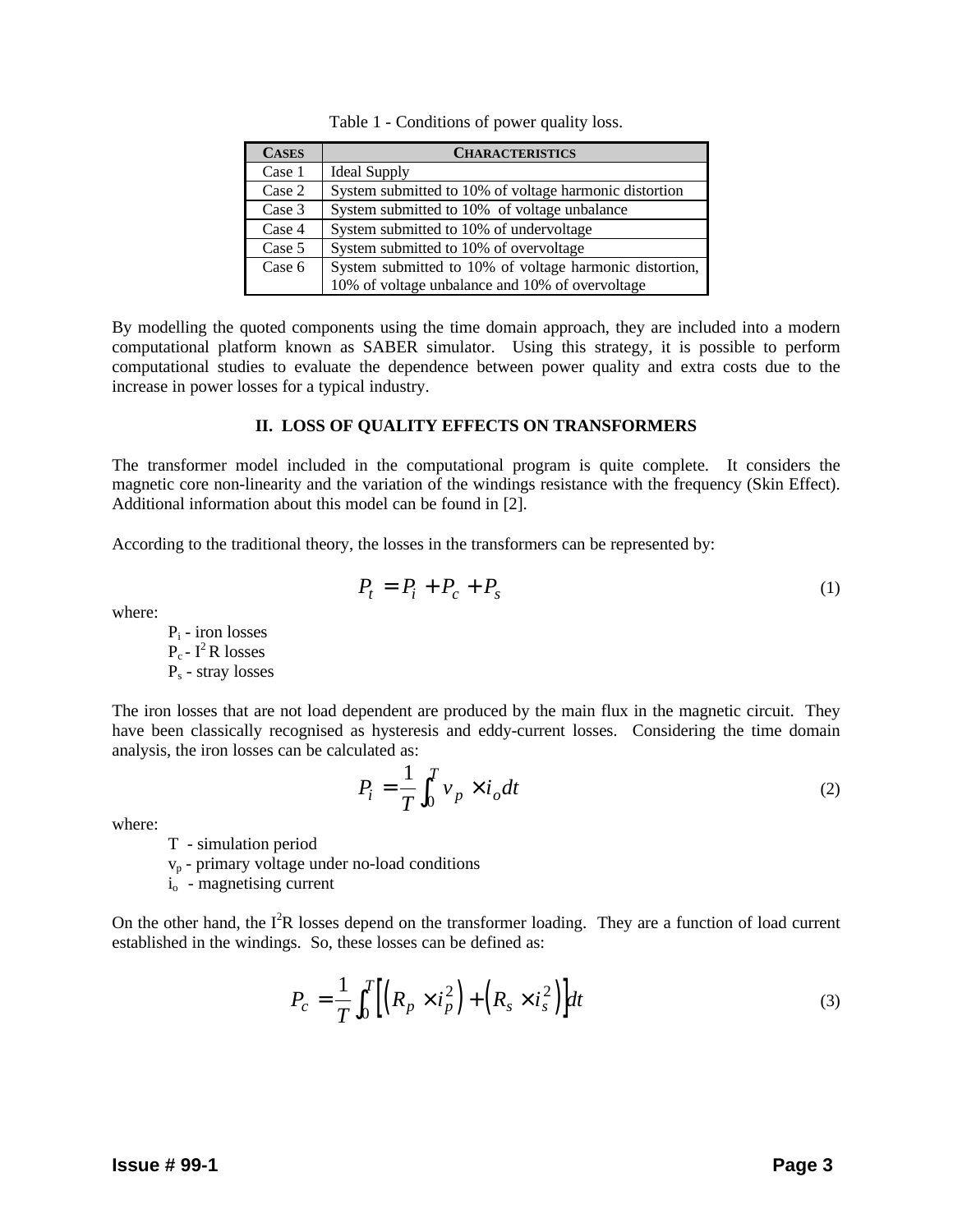| <b>CASES</b> | <b>CHARACTERISTICS</b>                                  |
|--------------|---------------------------------------------------------|
| Case 1       | <b>Ideal Supply</b>                                     |
| Case 2       | System submitted to 10% of voltage harmonic distortion  |
| Case 3       | System submitted to 10% of voltage unbalance            |
| Case 4       | System submitted to 10% of undervoltage                 |
| Case 5       | System submitted to 10% of overvoltage                  |
| Case 6       | System submitted to 10% of voltage harmonic distortion, |
|              | 10% of voltage unbalance and 10% of overvoltage         |

Table 1 - Conditions of power quality loss.

By modelling the quoted components using the time domain approach, they are included into a modern computational platform known as SABER simulator. Using this strategy, it is possible to perform computational studies to evaluate the dependence between power quality and extra costs due to the increase in power losses for a typical industry.

#### **II. LOSS OF QUALITY EFFECTS ON TRANSFORMERS**

The transformer model included in the computational program is quite complete. It considers the magnetic core non-linearity and the variation of the windings resistance with the frequency (Skin Effect). Additional information about this model can be found in [2].

According to the traditional theory, the losses in the transformers can be represented by:

$$
P_t = P_i + P_c + P_s \tag{1}
$$

where:

 $P_i$  - iron losses  $P_c - I^2 R$  losses P<sub>s</sub> - stray losses

The iron losses that are not load dependent are produced by the main flux in the magnetic circuit. They have been classically recognised as hysteresis and eddy-current losses. Considering the time domain analysis, the iron losses can be calculated as:

$$
P_i = \frac{1}{T} \int_0^T v_p \times i_o dt
$$
 (2)

where:

T - simulation period

vp - primary voltage under no-load conditions

i<sub>o</sub> - magnetising current

On the other hand, the  $I^2R$  losses depend on the transformer loading. They are a function of load current established in the windings. So, these losses can be defined as:

$$
P_c = \frac{1}{T} \int_0^T \left[ \left( R_p \times i_p^2 \right) + \left( R_s \times i_s^2 \right) \right] dt \tag{3}
$$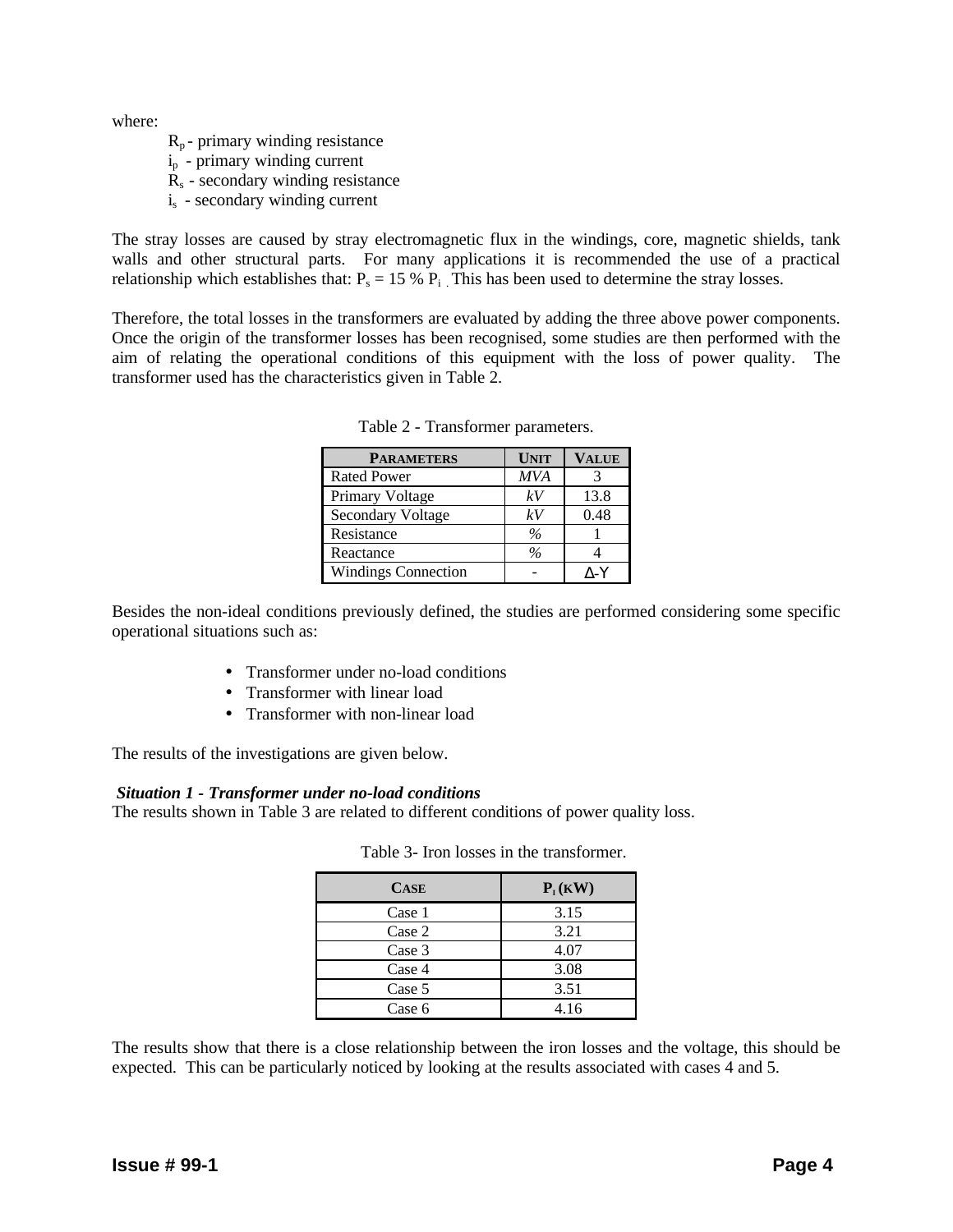where:

- $R_p$  primary winding resistance
- ip primary winding current
- $R<sub>s</sub>$  secondary winding resistance
- $i<sub>s</sub>$  secondary winding current

The stray losses are caused by stray electromagnetic flux in the windings, core, magnetic shields, tank walls and other structural parts. For many applications it is recommended the use of a practical relationship which establishes that:  $P_s = 15 % P_i$ . This has been used to determine the stray losses.

Therefore, the total losses in the transformers are evaluated by adding the three above power components. Once the origin of the transformer losses has been recognised, some studies are then performed with the aim of relating the operational conditions of this equipment with the loss of power quality. The transformer used has the characteristics given in Table 2.

| <b>PARAMETERS</b>          | <b>UNIT</b>   | <b>VALUE</b> |
|----------------------------|---------------|--------------|
| <b>Rated Power</b>         | <b>MVA</b>    |              |
| Primary Voltage            | kV            | 13.8         |
| Secondary Voltage          | kV            | 0.48         |
| Resistance                 | $\frac{0}{a}$ |              |
| Reactance                  | $\frac{0}{6}$ |              |
| <b>Windings Connection</b> |               | ۸-Y          |

Table 2 - Transformer parameters.

Besides the non-ideal conditions previously defined, the studies are performed considering some specific operational situations such as:

- Transformer under no-load conditions
- Transformer with linear load
- Transformer with non-linear load

The results of the investigations are given below.

## *Situation 1 - Transformer under no-load conditions*

The results shown in Table 3 are related to different conditions of power quality loss.

| <b>CASE</b> | $P_I(KW)$ |
|-------------|-----------|
| Case 1      | 3.15      |
| Case 2      | 3.21      |
| Case 3      | 4.07      |
| Case 4      | 3.08      |
| Case 5      | 3.51      |
| Case 6      | 4.16      |

|  |  |  |  |  | Table 3- Iron losses in the transformer. |
|--|--|--|--|--|------------------------------------------|
|--|--|--|--|--|------------------------------------------|

The results show that there is a close relationship between the iron losses and the voltage, this should be expected. This can be particularly noticed by looking at the results associated with cases 4 and 5.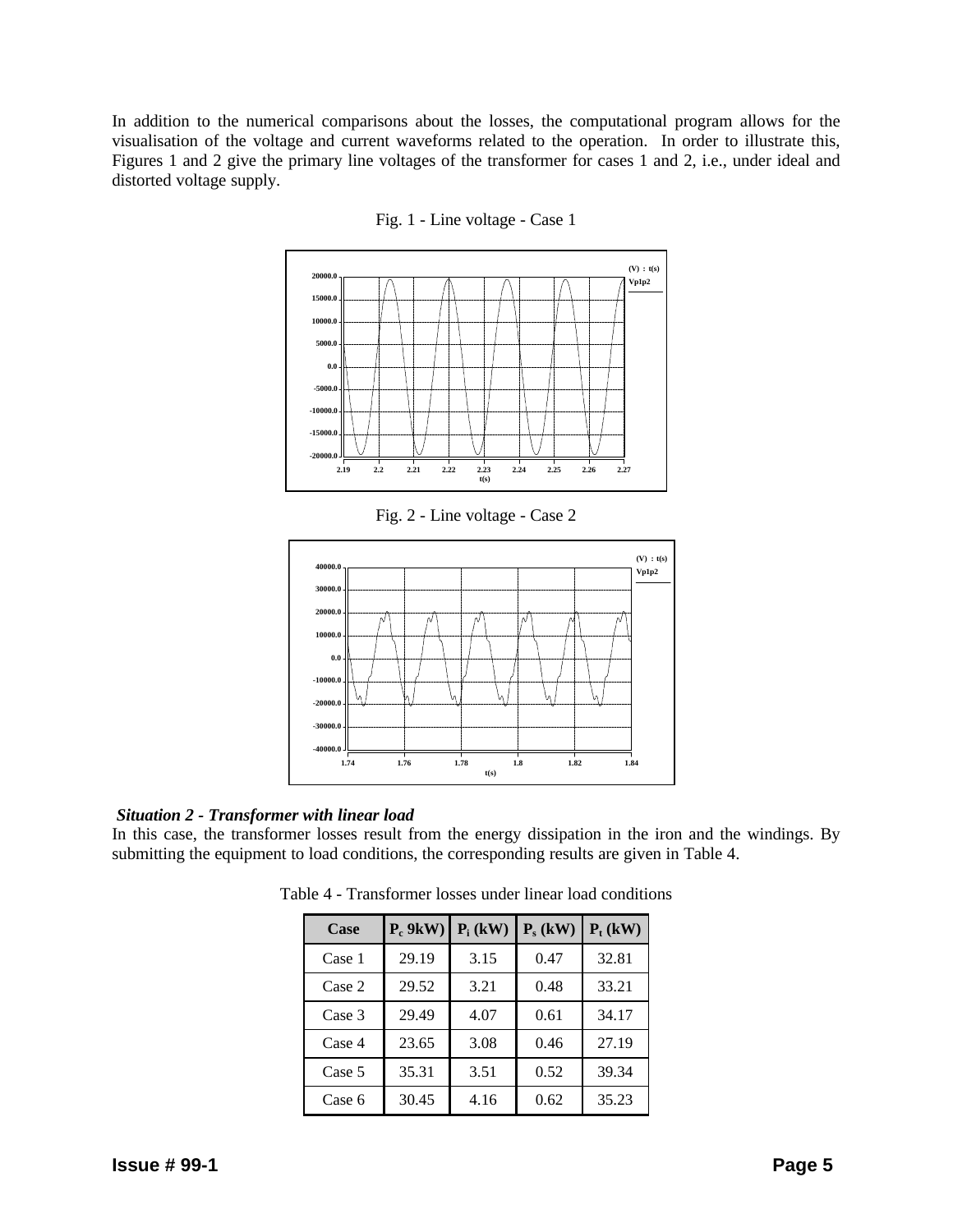In addition to the numerical comparisons about the losses, the computational program allows for the visualisation of the voltage and current waveforms related to the operation. In order to illustrate this, Figures 1 and 2 give the primary line voltages of the transformer for cases 1 and 2, i.e., under ideal and distorted voltage supply.





Fig. 2 - Line voltage - Case 2



## *Situation 2 - Transformer with linear load*

In this case, the transformer losses result from the energy dissipation in the iron and the windings. By submitting the equipment to load conditions, the corresponding results are given in Table 4.

| Case   | $P_c$ 9kW) | $P_i$ (kW) | $P_s$ (kW) | $P_t$ (kW) |
|--------|------------|------------|------------|------------|
| Case 1 | 29.19      | 3.15       | 0.47       | 32.81      |
| Case 2 | 29.52      | 3.21       | 0.48       | 33.21      |
| Case 3 | 29.49      | 4.07       | 0.61       | 34.17      |
| Case 4 | 23.65      | 3.08       | 0.46       | 27.19      |
| Case 5 | 35.31      | 3.51       | 0.52       | 39.34      |
| Case 6 | 30.45      | 4.16       | 0.62       | 35.23      |

Table 4 - Transformer losses under linear load conditions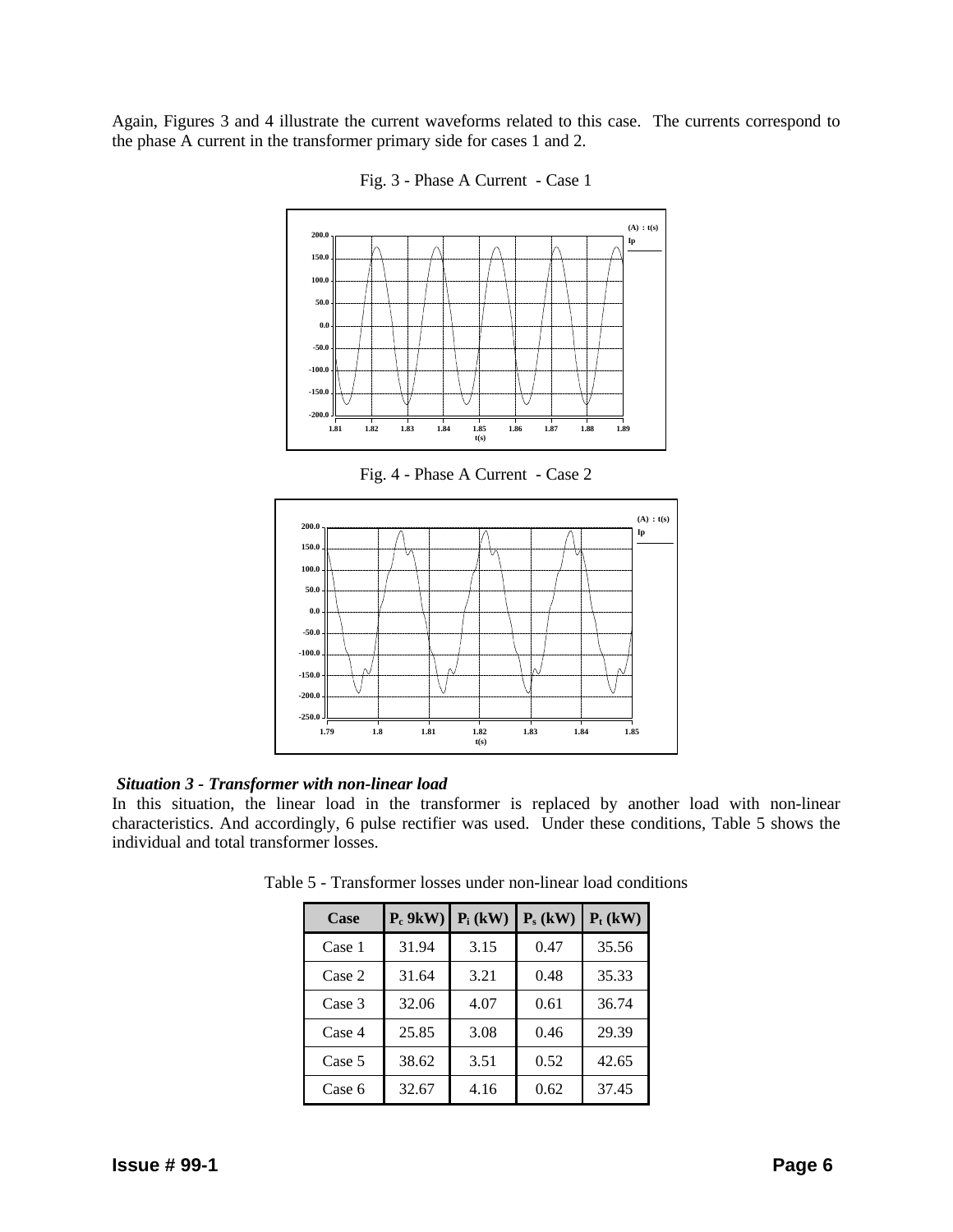Again, Figures 3 and 4 illustrate the current waveforms related to this case. The currents correspond to the phase A current in the transformer primary side for cases 1 and 2.



Fig. 3 - Phase A Current - Case 1

Fig. 4 - Phase A Current - Case 2



#### *Situation 3 - Transformer with non-linear load*

In this situation, the linear load in the transformer is replaced by another load with non-linear characteristics. And accordingly, 6 pulse rectifier was used. Under these conditions, Table 5 shows the individual and total transformer losses.

| Case   | $P_c$ 9kW) | $P_i$ (kW) | $P_s$ (kW) | $P_t$ (kW) |
|--------|------------|------------|------------|------------|
| Case 1 | 31.94      | 3.15       | 0.47       | 35.56      |
| Case 2 | 31.64      | 3.21       | 0.48       | 35.33      |
| Case 3 | 32.06      | 4.07       | 0.61       | 36.74      |
| Case 4 | 25.85      | 3.08       | 0.46       | 29.39      |
| Case 5 | 38.62      | 3.51       | 0.52       | 42.65      |
| Case 6 | 32.67      | 4.16       | 0.62       | 37.45      |

Table 5 - Transformer losses under non-linear load conditions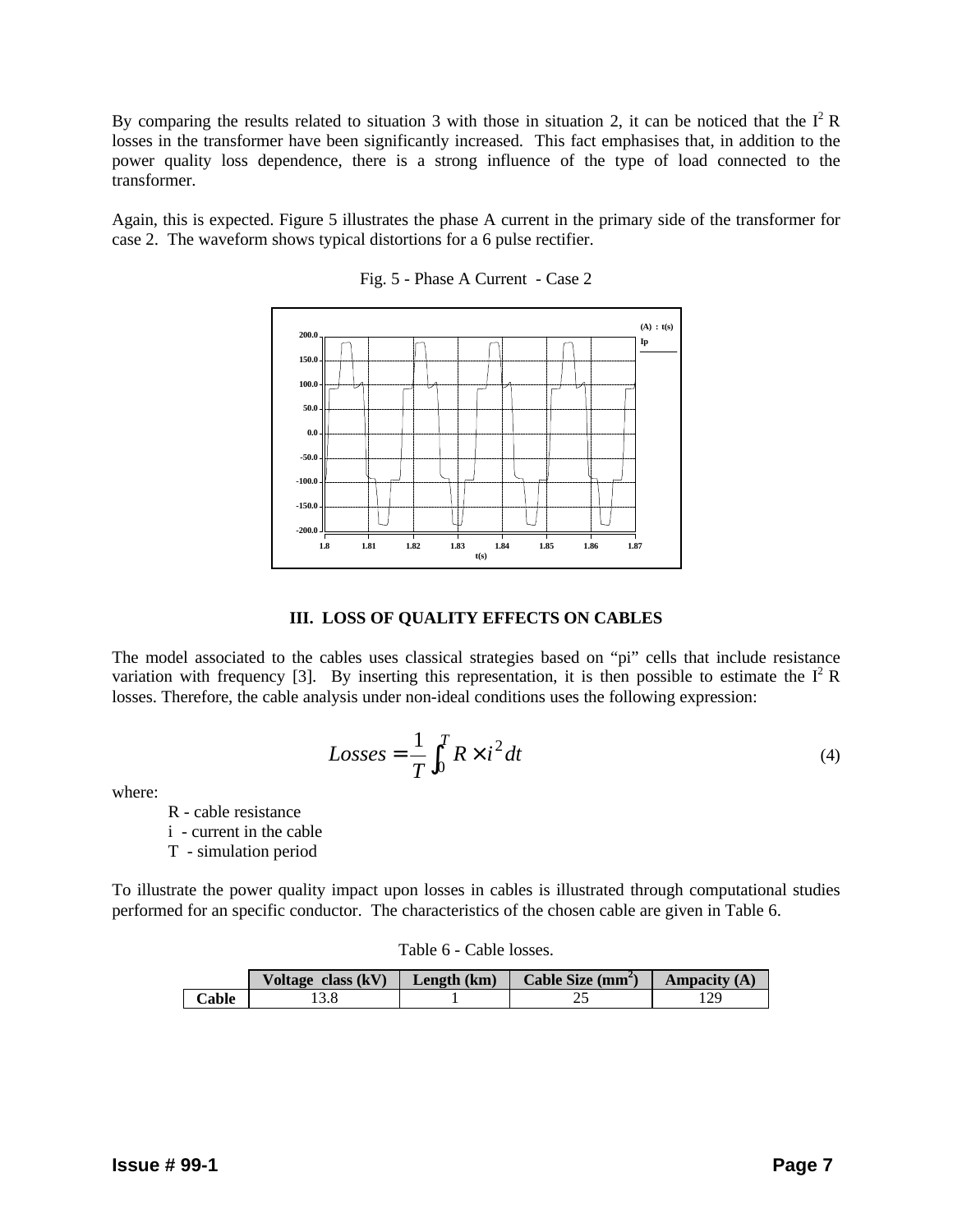By comparing the results related to situation 3 with those in situation 2, it can be noticed that the  $I^2 R$ losses in the transformer have been significantly increased. This fact emphasises that, in addition to the power quality loss dependence, there is a strong influence of the type of load connected to the transformer.

Again, this is expected. Figure 5 illustrates the phase A current in the primary side of the transformer for case 2. The waveform shows typical distortions for a 6 pulse rectifier.



Fig. 5 - Phase A Current - Case 2

## **III. LOSS OF QUALITY EFFECTS ON CABLES**

The model associated to the cables uses classical strategies based on "pi" cells that include resistance variation with frequency [3]. By inserting this representation, it is then possible to estimate the  $I^2 R$ losses. Therefore, the cable analysis under non-ideal conditions uses the following expression:

$$
Losses = \frac{1}{T} \int_0^T R \times i^2 dt
$$
 (4)

where:

R - cable resistance

i - current in the cable

T - simulation period

To illustrate the power quality impact upon losses in cables is illustrated through computational studies performed for an specific conductor. The characteristics of the chosen cable are given in Table 6.

|       | Voltage class $(kV)$ | Length $(km)$ | Cable Size $(mm2)$ | Ampacity $(A)$ |
|-------|----------------------|---------------|--------------------|----------------|
| Cable |                      |               | ∸-                 |                |

Table 6 - Cable losses.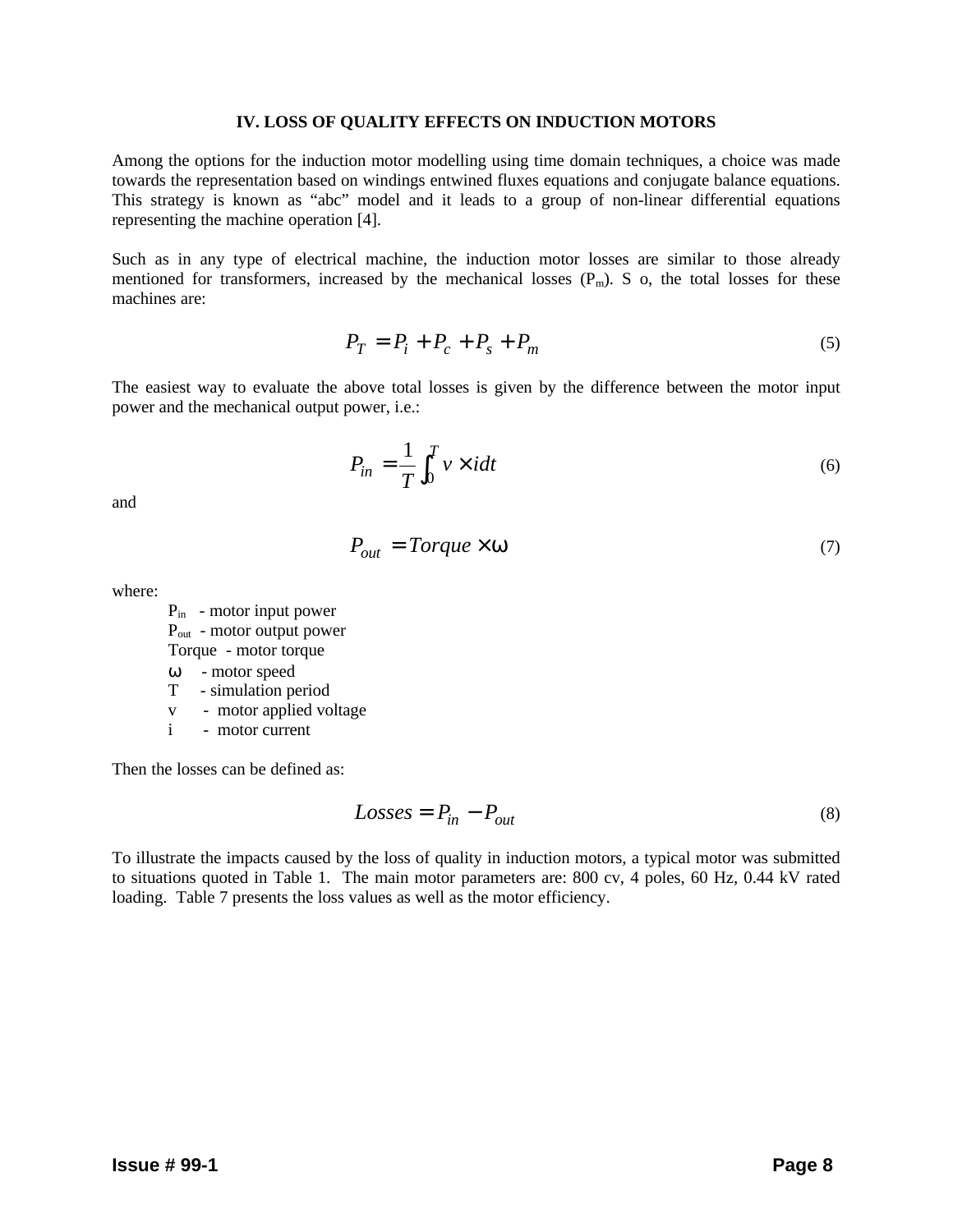#### **IV. LOSS OF QUALITY EFFECTS ON INDUCTION MOTORS**

Among the options for the induction motor modelling using time domain techniques, a choice was made towards the representation based on windings entwined fluxes equations and conjugate balance equations. This strategy is known as "abc" model and it leads to a group of non-linear differential equations representing the machine operation [4].

Such as in any type of electrical machine, the induction motor losses are similar to those already mentioned for transformers, increased by the mechanical losses  $(P_m)$ . S o, the total losses for these machines are:

$$
P_T = P_i + P_c + P_s + P_m \tag{5}
$$

The easiest way to evaluate the above total losses is given by the difference between the motor input power and the mechanical output power, i.e.:

$$
P_{in} = \frac{1}{T} \int_0^T v \times idt \tag{6}
$$

and

$$
P_{out} = Torque \times \mathbf{w} \tag{7}
$$

where:

Pin - motor input power Pout - motor output power Torque - motor torque ω - motor speed

- T simulation period
- v motor applied voltage
- i motor current

Then the losses can be defined as:

$$
Losses = P_{in} - P_{out} \tag{8}
$$

To illustrate the impacts caused by the loss of quality in induction motors, a typical motor was submitted to situations quoted in Table 1. The main motor parameters are: 800 cv, 4 poles, 60 Hz, 0.44 kV rated loading. Table 7 presents the loss values as well as the motor efficiency.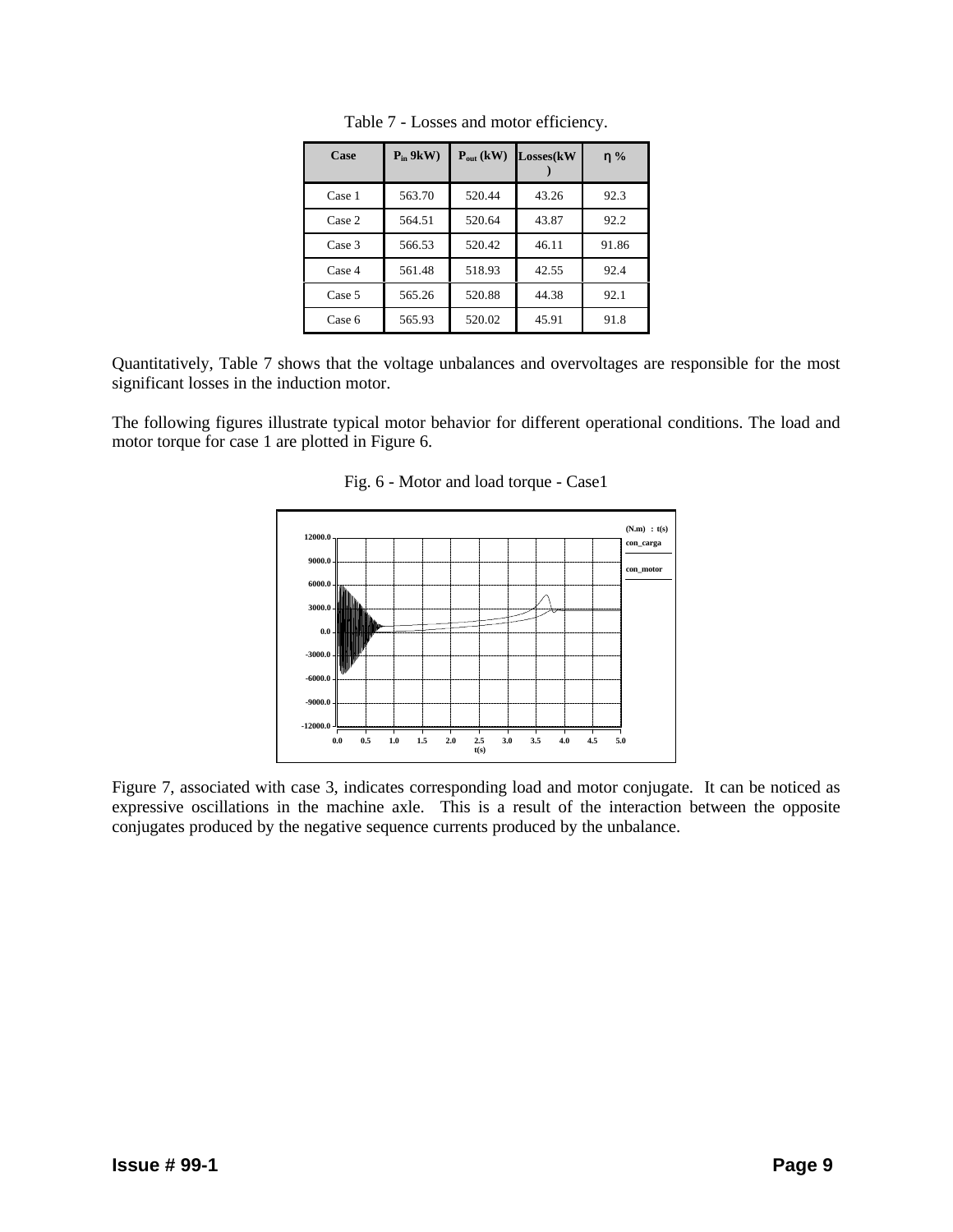| Case   | $P_{in}$ 9kW) | $P_{out}$ (kW) | Losses(kW | $\eta$ % |
|--------|---------------|----------------|-----------|----------|
| Case 1 | 563.70        | 520.44         | 43.26     | 92.3     |
| Case 2 | 564.51        | 520.64         | 43.87     | 92.2     |
| Case 3 | 566.53        | 520.42         | 46.11     | 91.86    |
| Case 4 | 561.48        | 518.93         | 42.55     | 92.4     |
| Case 5 | 565.26        | 520.88         | 44.38     | 92.1     |
| Case 6 | 565.93        | 520.02         | 45.91     | 91.8     |

Table 7 - Losses and motor efficiency.

Quantitatively, Table 7 shows that the voltage unbalances and overvoltages are responsible for the most significant losses in the induction motor.

The following figures illustrate typical motor behavior for different operational conditions. The load and motor torque for case 1 are plotted in Figure 6.



Fig. 6 - Motor and load torque - Case1

Figure 7, associated with case 3, indicates corresponding load and motor conjugate. It can be noticed as expressive oscillations in the machine axle. This is a result of the interaction between the opposite conjugates produced by the negative sequence currents produced by the unbalance.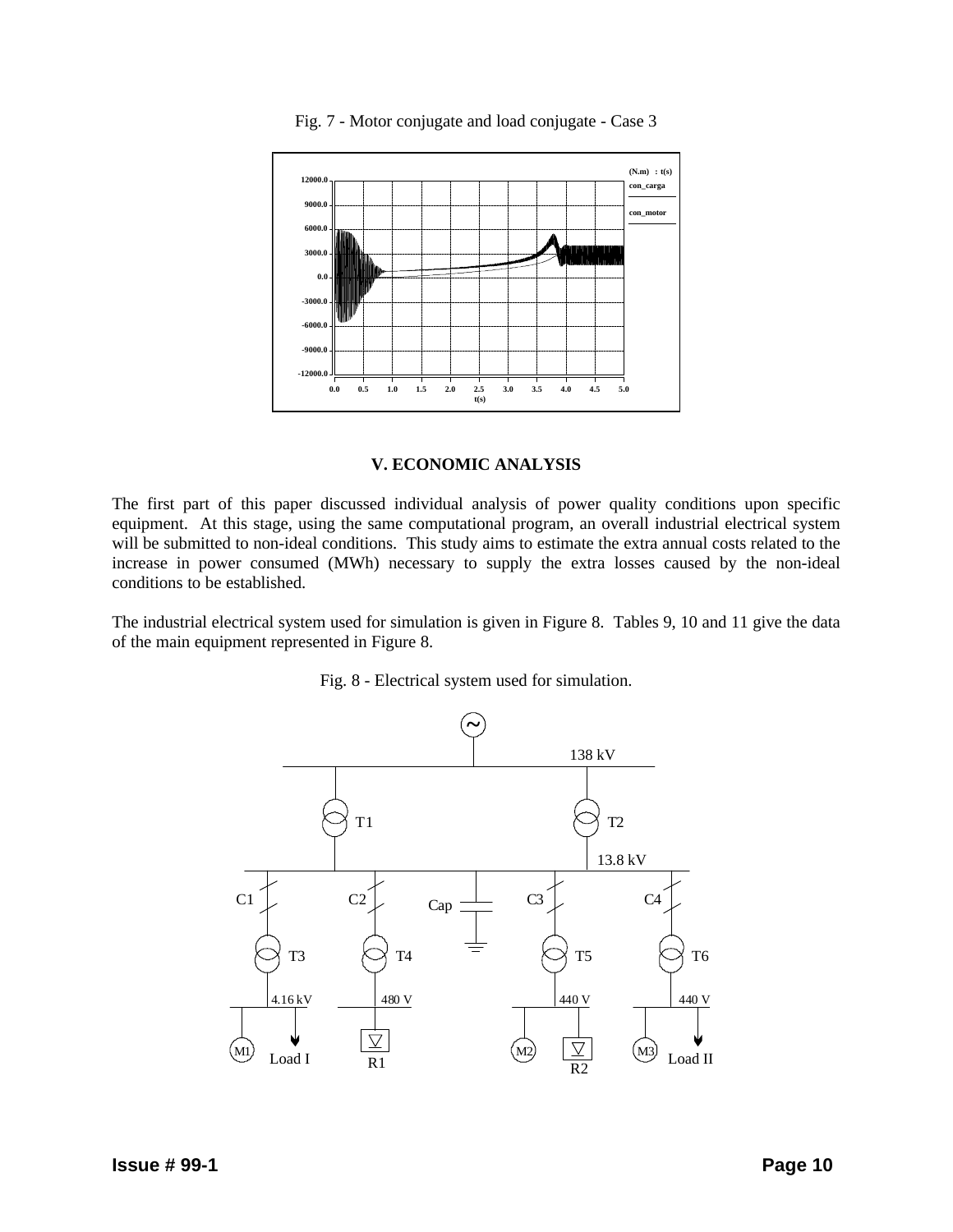

Fig. 7 - Motor conjugate and load conjugate - Case 3

## **V. ECONOMIC ANALYSIS**

The first part of this paper discussed individual analysis of power quality conditions upon specific equipment. At this stage, using the same computational program, an overall industrial electrical system will be submitted to non-ideal conditions. This study aims to estimate the extra annual costs related to the increase in power consumed (MWh) necessary to supply the extra losses caused by the non-ideal conditions to be established.

The industrial electrical system used for simulation is given in Figure 8. Tables 9, 10 and 11 give the data of the main equipment represented in Figure 8.



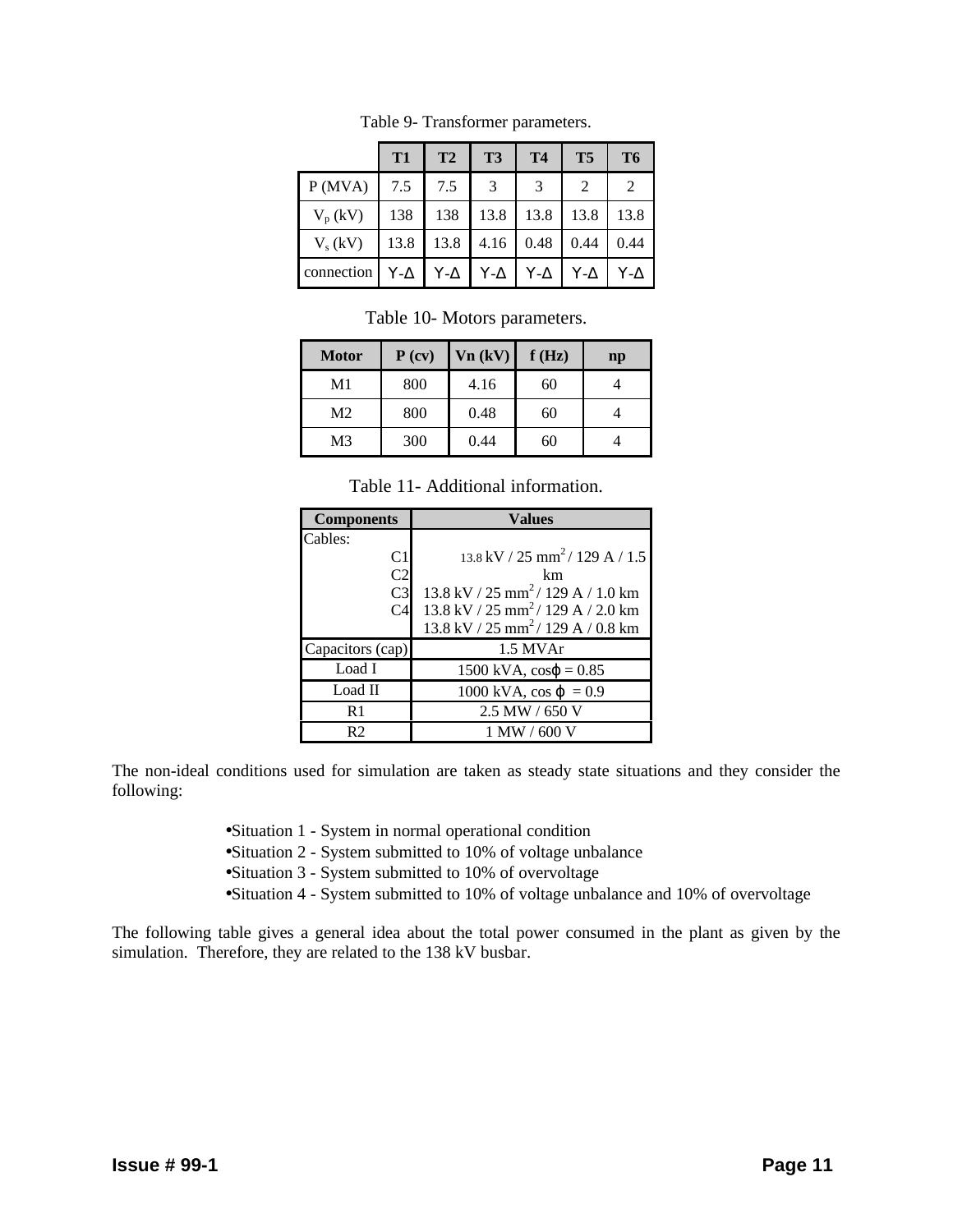|                       | <b>T1</b> | T <sub>2</sub> | T <sub>3</sub> | <b>T4</b>  | <b>T5</b>      | T6           |
|-----------------------|-----------|----------------|----------------|------------|----------------|--------------|
| P(MVA)                | 7.5       | 7.5            | 3              | 3          | $\mathfrak{D}$ | 2            |
| $V_p (kV)$            | 138       | 138            | 13.8           | 13.8       | 13.8           | 13.8         |
| $V_s$ (kV)            | 13.8      | 13.8           | 4.16           | 0.48       | 0.44           | 0.44         |
| connection $Y-\Delta$ |           | $Y-\Delta$     | $Y-\Delta$     | $Y-\Delta$ | $Y - \Delta$   | $Y - \Delta$ |

Table 9- Transformer parameters.

Table 10- Motors parameters.

| <b>Motor</b>   | P (cv) | Vn (kV) | f(Hz) | $\mathbf{np}$ |
|----------------|--------|---------|-------|---------------|
| M1             | 800    | 4.16    | 60    |               |
| M <sub>2</sub> | 800    | 0.48    | 60    |               |
| M <sub>3</sub> | 300    | 0.44    | 60    |               |

Table 11- Additional information.

| <b>Components</b> | <b>Values</b>                                                              |
|-------------------|----------------------------------------------------------------------------|
| Cables:           |                                                                            |
| C <sub>1</sub>    | $13.8 \text{ kV}$ / 25 mm <sup>2</sup> / 129 A / 1.5                       |
| C <sub>2</sub>    | km                                                                         |
| C <sub>3</sub>    | 13.8 kV / 25 mm <sup>2</sup> /129 A / 1.0 km                               |
| C <sub>4</sub>    | $13.8 \text{ kV}$ / $25 \text{ mm}^2$ / $129 \text{ A}$ / $2.0 \text{ km}$ |
|                   | $13.8 \text{ kV} / 25 \text{ mm}^2 / 129 \text{ A} / 0.8 \text{ km}$       |
| Capacitors (cap)  | 1.5 MVAr                                                                   |
| Load I            | $1500 \text{ kVA}$ , $\cos\varphi = 0.85$                                  |
| Load II           | 1000 kVA, $\cos \varphi = 0.9$                                             |
| R <sub>1</sub>    | 2.5 MW / 650 V                                                             |
| R <sub>2</sub>    | 1 MW / 600 V                                                               |

The non-ideal conditions used for simulation are taken as steady state situations and they consider the following:

- •Situation 1 System in normal operational condition
- •Situation 2 System submitted to 10% of voltage unbalance
- •Situation 3 System submitted to 10% of overvoltage
- •Situation 4 System submitted to 10% of voltage unbalance and 10% of overvoltage

The following table gives a general idea about the total power consumed in the plant as given by the simulation. Therefore, they are related to the 138 kV busbar.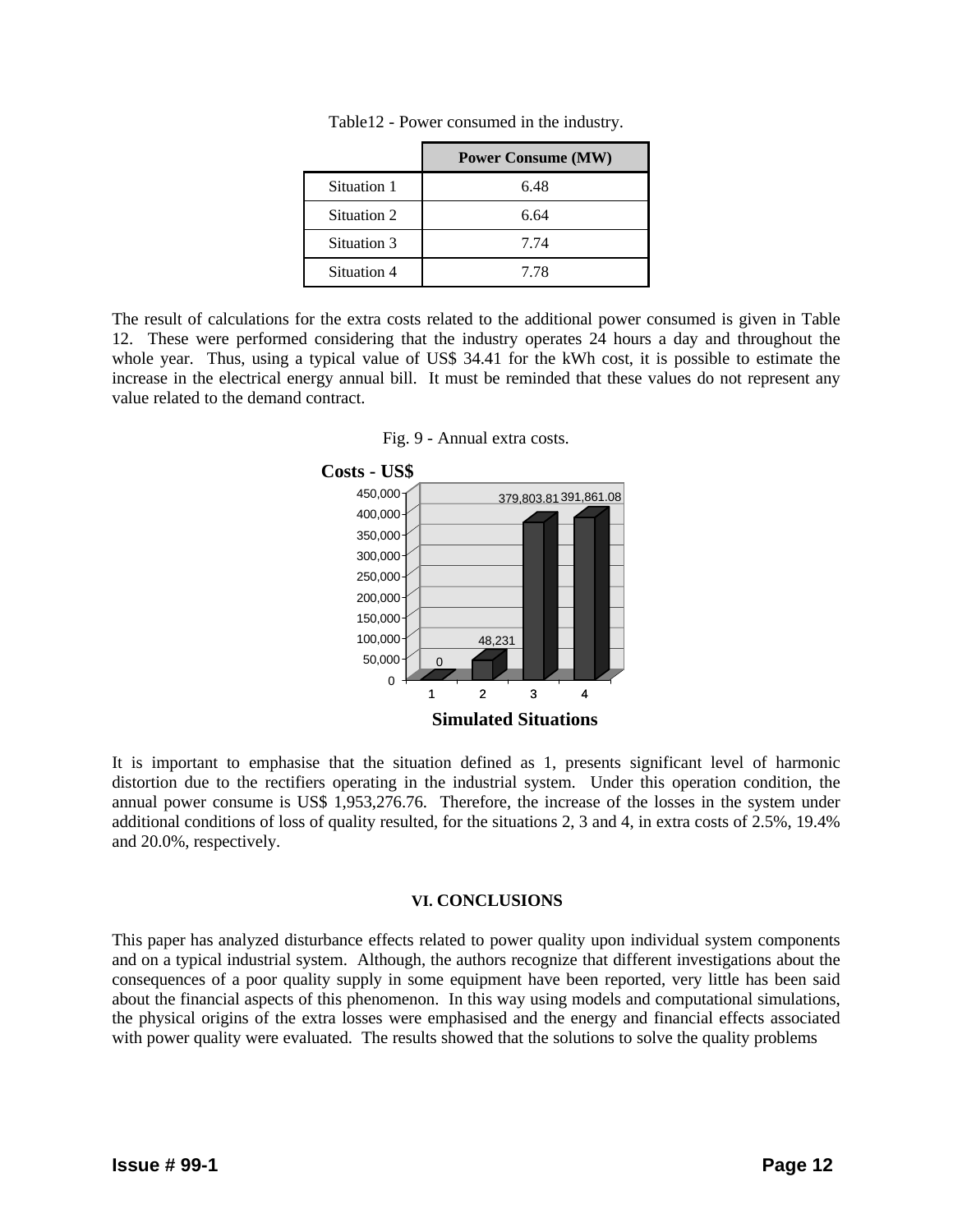|             | <b>Power Consume (MW)</b> |
|-------------|---------------------------|
| Situation 1 | 6.48                      |
| Situation 2 | 6.64                      |
| Situation 3 | 7.74                      |
| Situation 4 | 7.78                      |

Table12 - Power consumed in the industry.

The result of calculations for the extra costs related to the additional power consumed is given in Table 12. These were performed considering that the industry operates 24 hours a day and throughout the whole year. Thus, using a typical value of US\$ 34.41 for the kWh cost, it is possible to estimate the increase in the electrical energy annual bill. It must be reminded that these values do not represent any value related to the demand contract.





It is important to emphasise that the situation defined as 1, presents significant level of harmonic distortion due to the rectifiers operating in the industrial system. Under this operation condition, the annual power consume is US\$ 1,953,276.76. Therefore, the increase of the losses in the system under additional conditions of loss of quality resulted, for the situations 2, 3 and 4, in extra costs of 2.5%, 19.4% and 20.0%, respectively.

#### **VI. CONCLUSIONS**

This paper has analyzed disturbance effects related to power quality upon individual system components and on a typical industrial system. Although, the authors recognize that different investigations about the consequences of a poor quality supply in some equipment have been reported, very little has been said about the financial aspects of this phenomenon. In this way using models and computational simulations, the physical origins of the extra losses were emphasised and the energy and financial effects associated with power quality were evaluated. The results showed that the solutions to solve the quality problems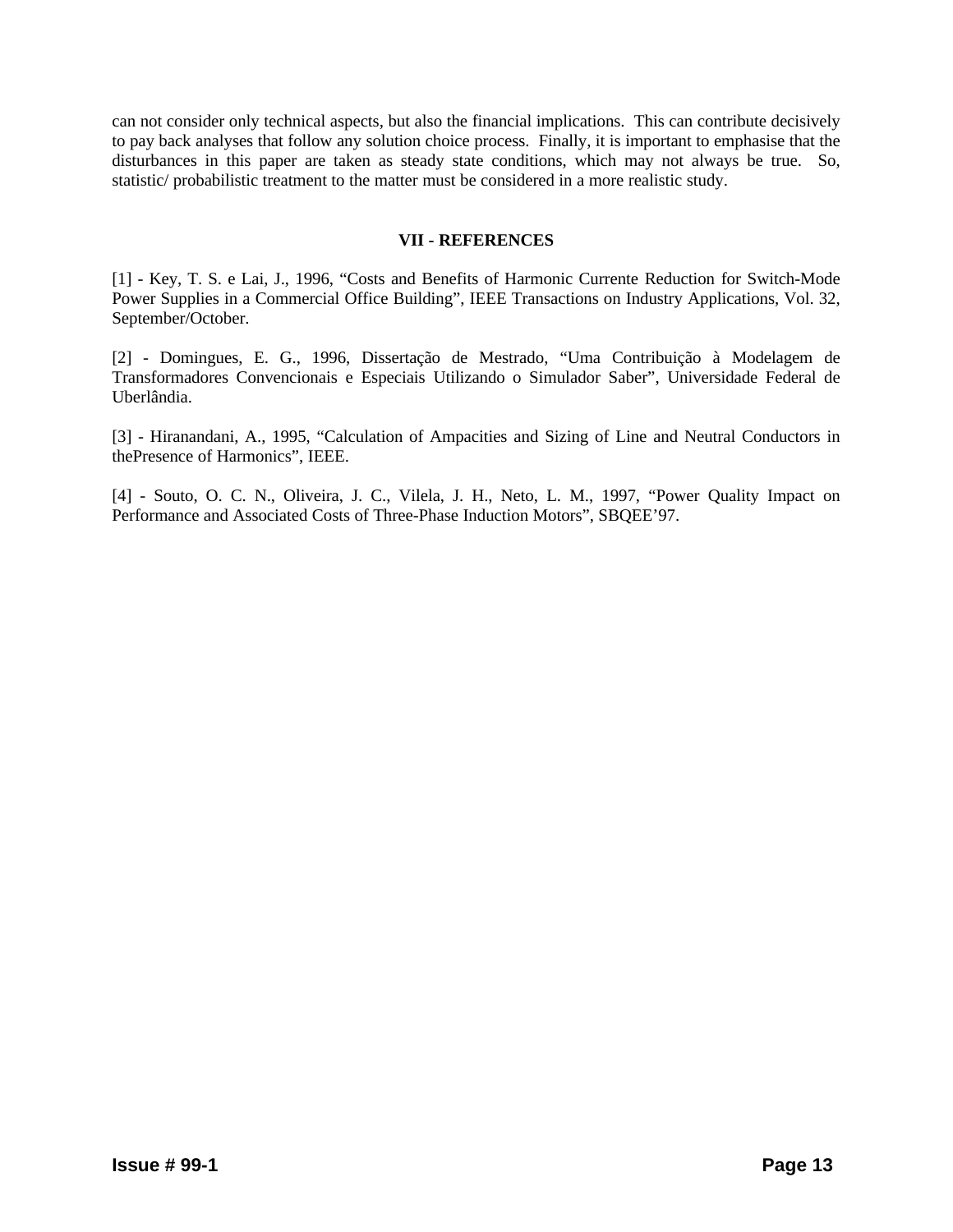can not consider only technical aspects, but also the financial implications. This can contribute decisively to pay back analyses that follow any solution choice process. Finally, it is important to emphasise that the disturbances in this paper are taken as steady state conditions, which may not always be true. So, statistic/ probabilistic treatment to the matter must be considered in a more realistic study.

## **VII - REFERENCES**

[1] - Key, T. S. e Lai, J., 1996, "Costs and Benefits of Harmonic Currente Reduction for Switch-Mode Power Supplies in a Commercial Office Building", IEEE Transactions on Industry Applications, Vol. 32, September/October.

[2] - Domingues, E. G., 1996, Dissertação de Mestrado, "Uma Contribuição à Modelagem de Transformadores Convencionais e Especiais Utilizando o Simulador Saber", Universidade Federal de Uberlândia.

[3] - Hiranandani, A., 1995, "Calculation of Ampacities and Sizing of Line and Neutral Conductors in thePresence of Harmonics", IEEE.

[4] - Souto, O. C. N., Oliveira, J. C., Vilela, J. H., Neto, L. M., 1997, "Power Quality Impact on Performance and Associated Costs of Three-Phase Induction Motors", SBQEE'97.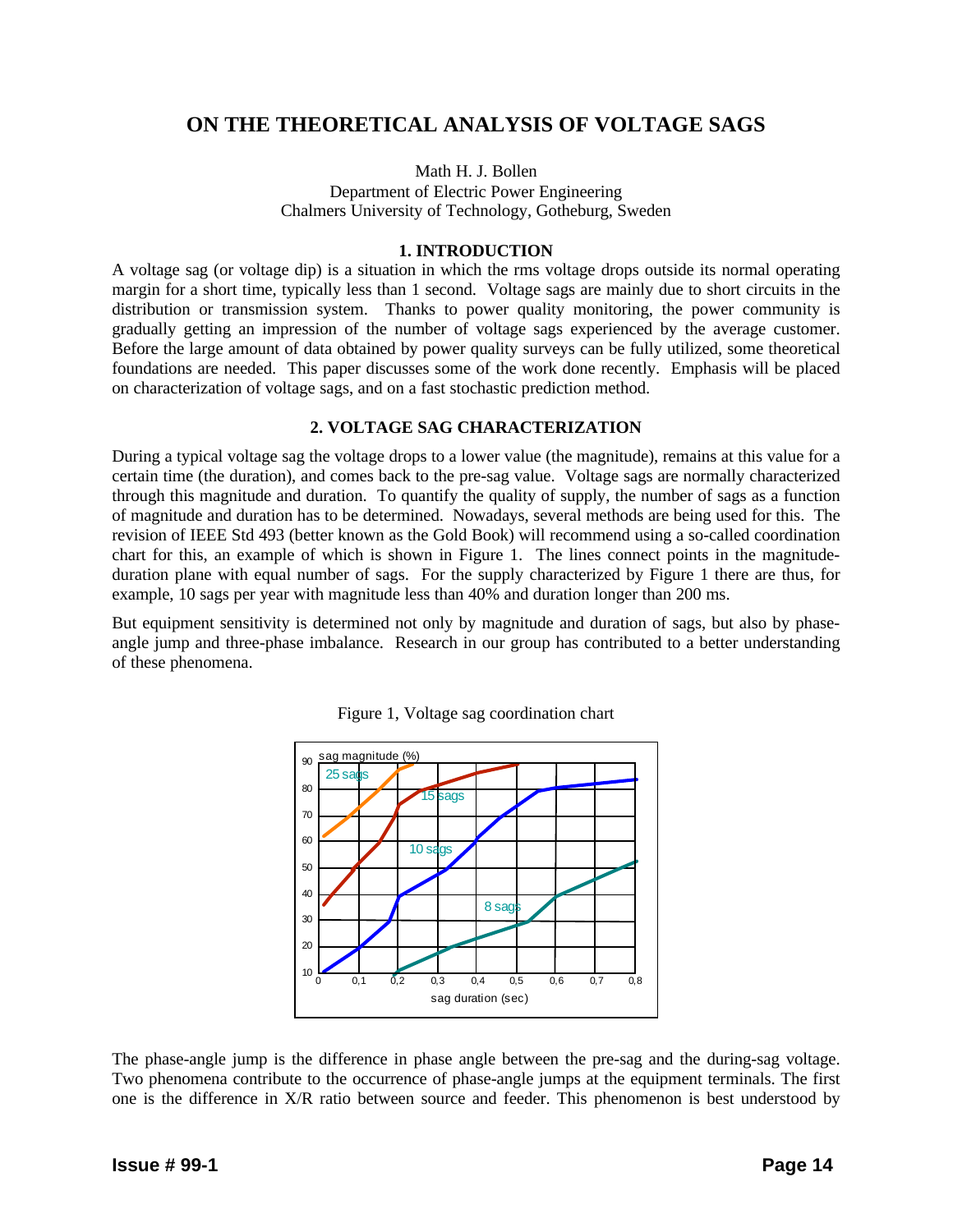# **ON THE THEORETICAL ANALYSIS OF VOLTAGE SAGS**

## Math H. J. Bollen

Department of Electric Power Engineering Chalmers University of Technology, Gotheburg, Sweden

#### **1. INTRODUCTION**

A voltage sag (or voltage dip) is a situation in which the rms voltage drops outside its normal operating margin for a short time, typically less than 1 second. Voltage sags are mainly due to short circuits in the distribution or transmission system. Thanks to power quality monitoring, the power community is gradually getting an impression of the number of voltage sags experienced by the average customer. Before the large amount of data obtained by power quality surveys can be fully utilized, some theoretical foundations are needed. This paper discusses some of the work done recently. Emphasis will be placed on characterization of voltage sags, and on a fast stochastic prediction method.

## **2. VOLTAGE SAG CHARACTERIZATION**

During a typical voltage sag the voltage drops to a lower value (the magnitude), remains at this value for a certain time (the duration), and comes back to the pre-sag value. Voltage sags are normally characterized through this magnitude and duration. To quantify the quality of supply, the number of sags as a function of magnitude and duration has to be determined. Nowadays, several methods are being used for this. The revision of IEEE Std 493 (better known as the Gold Book) will recommend using a so-called coordination chart for this, an example of which is shown in Figure 1. The lines connect points in the magnitudeduration plane with equal number of sags. For the supply characterized by Figure 1 there are thus, for example, 10 sags per year with magnitude less than 40% and duration longer than 200 ms.

But equipment sensitivity is determined not only by magnitude and duration of sags, but also by phaseangle jump and three-phase imbalance. Research in our group has contributed to a better understanding of these phenomena.



Figure 1, Voltage sag coordination chart

The phase-angle jump is the difference in phase angle between the pre-sag and the during-sag voltage. Two phenomena contribute to the occurrence of phase-angle jumps at the equipment terminals. The first one is the difference in X/R ratio between source and feeder. This phenomenon is best understood by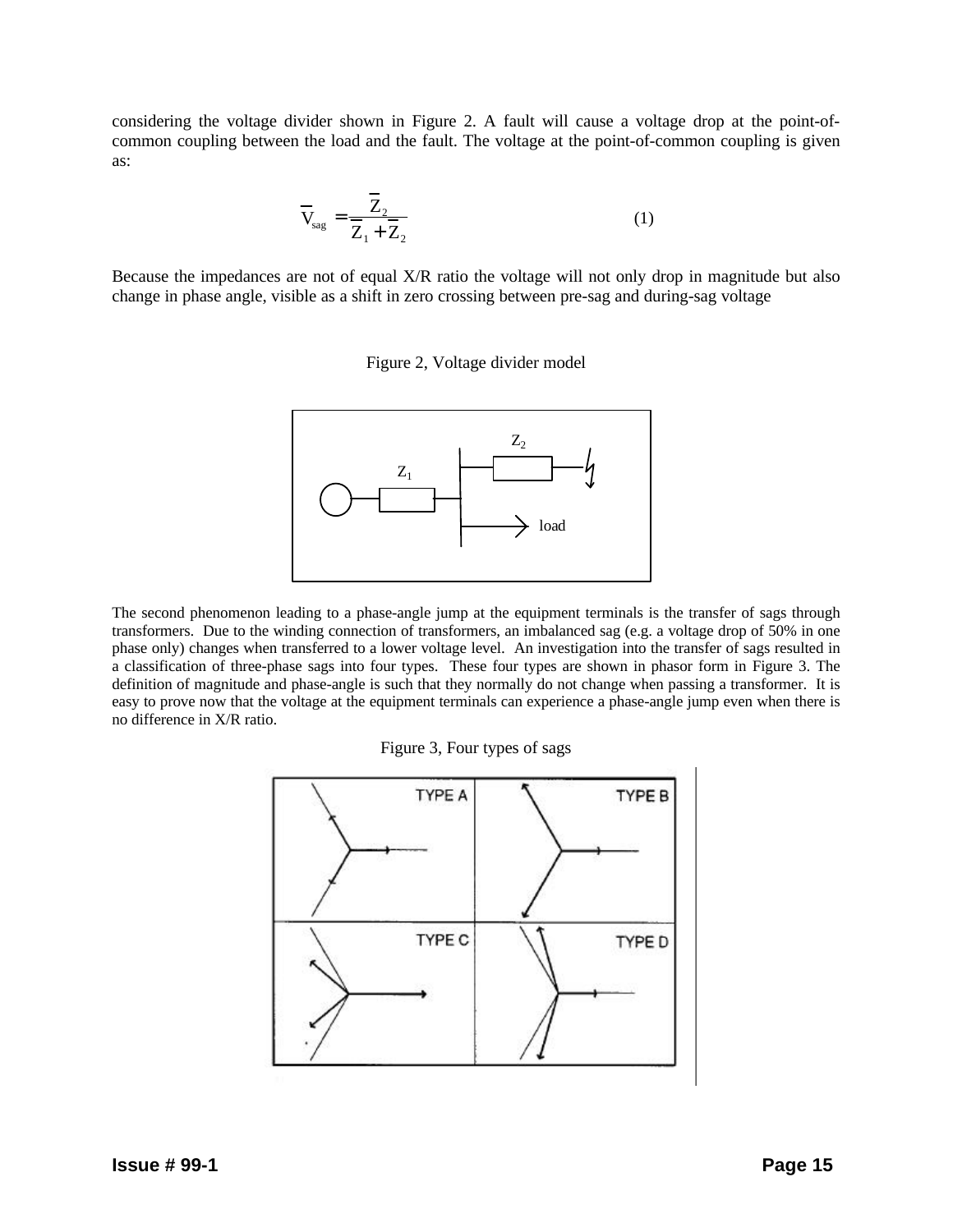considering the voltage divider shown in Figure 2. A fault will cause a voltage drop at the point-ofcommon coupling between the load and the fault. The voltage at the point-of-common coupling is given as:

$$
\overline{V}_{\text{sag}} = \frac{\overline{Z}_2}{\overline{Z}_1 + \overline{Z}_2} \tag{1}
$$

Because the impedances are not of equal X/R ratio the voltage will not only drop in magnitude but also change in phase angle, visible as a shift in zero crossing between pre-sag and during-sag voltage





The second phenomenon leading to a phase-angle jump at the equipment terminals is the transfer of sags through transformers. Due to the winding connection of transformers, an imbalanced sag (e.g. a voltage drop of 50% in one phase only) changes when transferred to a lower voltage level. An investigation into the transfer of sags resulted in a classification of three-phase sags into four types. These four types are shown in phasor form in Figure 3. The definition of magnitude and phase-angle is such that they normally do not change when passing a transformer. It is easy to prove now that the voltage at the equipment terminals can experience a phase-angle jump even when there is no difference in X/R ratio.